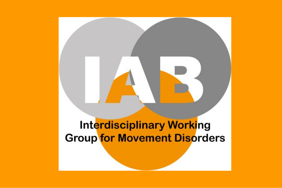# **Interdisciplinary Working Group for Movement Disorders**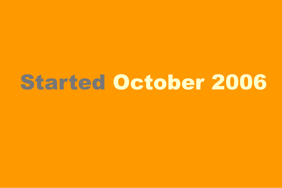# Started October 2006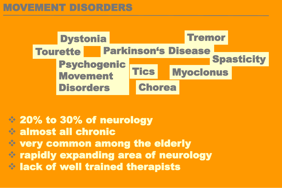

# ❖ 20% to 30% of neurology

- ❖ almost all chronic
- ❖ very common among the elderly
- ❖ rapidly expanding area of neurology
- ❖ lack of well trained therapists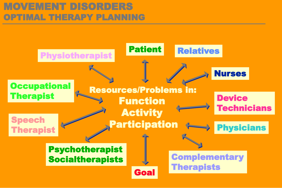# MOVEMENT DISORDERS OPTIMAL THERAPY PLANNING

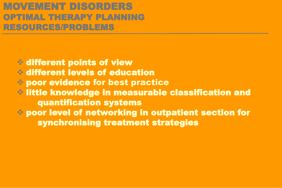## MOVEMENT DISORDERS OPTIMAL THERAPY PLANNING RESOURCES/PROBLEMS

❖ different points of view ❖ different levels of education ❖ poor evidence for best practice ❖ little knowledge in measurable classification and quantification systems ❖ poor level of networking in outpatient section for synchronising treatment strategies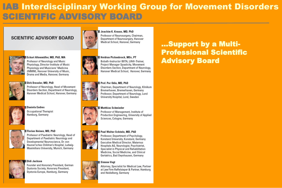## **IAB Interdisciplinary Working Group for Movement Disorders** SCIENTIFIC ADVISORY BOARD

#### **SCIENTIFIC ADVISORY BOARD**



#### Eckart Altenmüller, MD, PhD, MA

Professor of Neurology and Music Physiology, Director Institute of Music Physiology and Musicians' Medicine (IMMM). Hanover University of Music. Drama and Media, Hanover, Germany



#### Dirk Dressler, MD, PhD

Professor of Neurology, Head of Movement Disorders Section, Department of Neurology, Hanover Medical School, Hanover, Germany



#### **Daniela Endres**

Occupational Therapist Hamburg, Germany



#### | Florian Heinen, MD, PhD

Professor of Paediatric Neurology, Head of Department of Paediatric Neurology and Developmental Neuroscience, Dr. von Hauner'sches Children's Hospital, Ludwig-Maximilians University, Munich, Germany



#### Didi Jackson

Founder and Honorary President, German Dystonia Society, Honorary President, Dystonia Europe, Hamburg, Germany

#### Joachim K. Krauss, MD. PhD



Professor of Neurosurgery, Chairman, Department of Neurosurgery, Hanover Medical School, Hanover, Germany



#### Heidrun Pickenbrock, MSc. PT Bobath-Instructor IBITA, LiN®-Trainer, Project Manager Spasticity, Movement Disorders Section, Department of Neurology, Hanover Medical School, Hanover, Germany

#### Prof. Per Odin. MD. PhD

Chairman, Department of Neurology, Klinikum Bremerhaven, Bremerhaven, Germany Professor, Department of Neurology, Lund University Hospital, Lund, Sweden

#### **Matthias Schmieder**



Professor of Management, Institute of Production Engineering, University of Applied Sciences, Cologne, Germany

#### Paul Walter Schönle, MD, PhD

Professor, Department of Psychology, Konstanz University, Konstanz, Germany **Executive Medical Director, Maternus** Hospitals AG, Neurologist, Psychiatrist, Specialist in Physical and Rehabilitation Medicine, Social Medicine, and Clinical Geriatrics, Bad Oeynhausen, Germany

#### Simone Vogt

Attorney, Specialist for Medical Law, Partner at Law Firm Raffelsieper & Partner, Hamburg and Heidelberg, Germany

### ...Support by a Multi-**Professional Scientific Advisory Board**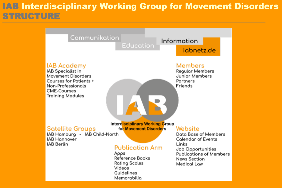## **IAB Interdisciplinary Working Group for Movement Disorders** STRUCTURE

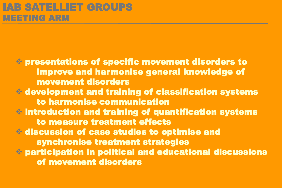❖ presentations of specific movement disorders to improve and harmonise general knowledge of movement disorders ❖ development and training of classification systems to harmonise communication ❖ introduction and training of quantification systems to measure treatment effects ❖ discussion of case studies to optimise and synchronise treatment strategies ❖ participation in political and educational discussions of movement disorders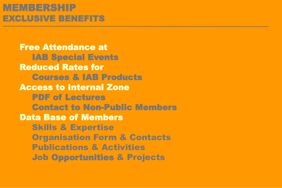# MEMBERSHIP EXCLUSIVE BENEFITS

Free Attendance at IAB Special Events Reduced Rates for Courses & IAB Products Access to Internal Zone PDF of Lectures Contact to Non-Public Members Data Base of Members Skills & Expertise Organisation Form & Contacts Publications & Activities Job Opportunities & Projects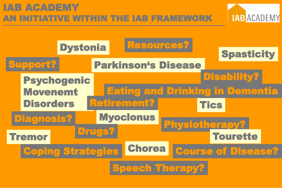# IAB ACADEMY TIVE WITHIN THE IAB FRAMEWORK



**IAB ACADEMY**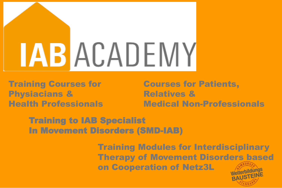# LABACADEMY

Training Courses for Physiacians & Health Professionals Courses for Patients, Relatives & Medical Non-Professionals

Training to IAB Specialist In Movement Disorders (SMD-IAB)

> Training Modules for Interdisciplinary Therapy of Movement Disorders based on Cooperation of Netz3L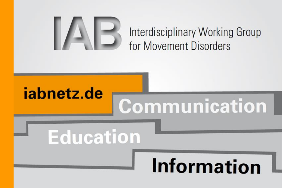

# Interdisciplinary Working Group for Movement Disorders

# iabnetz.de

# Communication

# **Education**

# Information